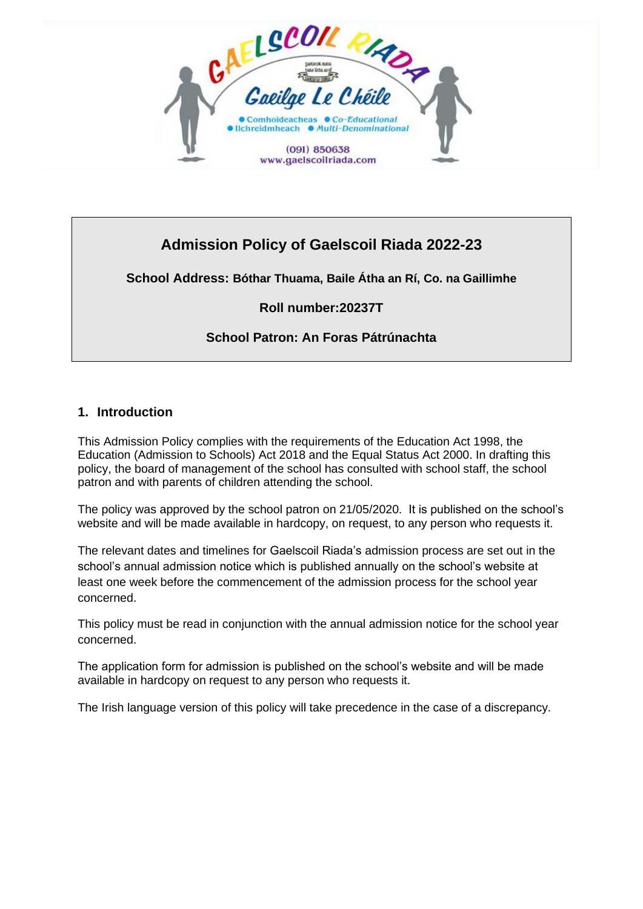

# **Admission Policy of Gaelscoil Riada 2022-23**

# **School Address: Bóthar Thuama, Baile Átha an Rí, Co. na Gaillimhe**

# **Roll number:20237T**

# **School Patron: An Foras Pátrúnachta**

### **1. Introduction**

This Admission Policy complies with the requirements of the Education Act 1998, the Education (Admission to Schools) Act 2018 and the Equal Status Act 2000. In drafting this policy, the board of management of the school has consulted with school staff, the school patron and with parents of children attending the school.

The policy was approved by the school patron on 21/05/2020. It is published on the school's website and will be made available in hardcopy, on request, to any person who requests it.

The relevant dates and timelines for Gaelscoil Riada's admission process are set out in the school's annual admission notice which is published annually on the school's website at least one week before the commencement of the admission process for the school year concerned.

This policy must be read in conjunction with the annual admission notice for the school year concerned.

The application form for admission is published on the school's website and will be made available in hardcopy on request to any person who requests it.

The Irish language version of this policy will take precedence in the case of a discrepancy.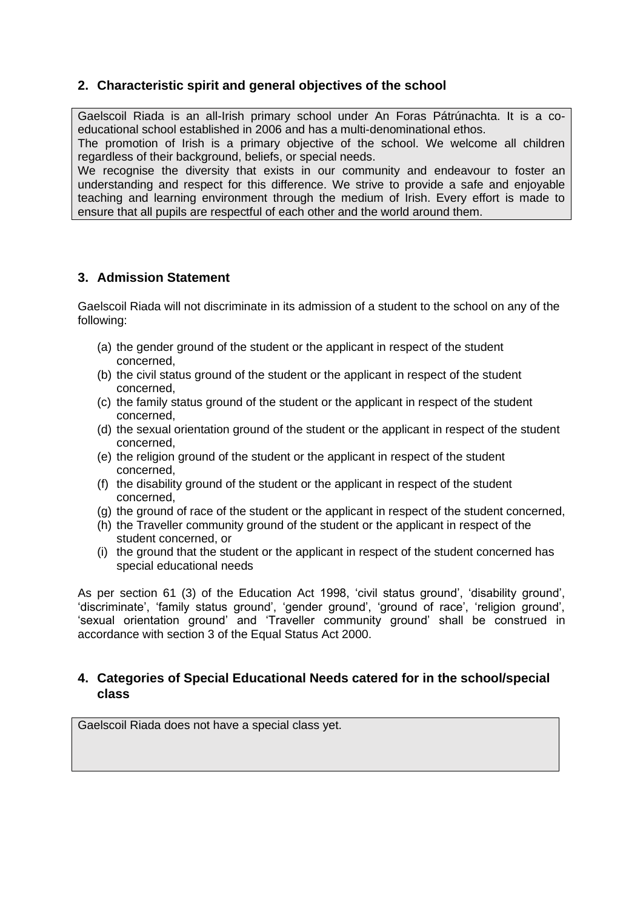# **2. Characteristic spirit and general objectives of the school**

Gaelscoil Riada is an all-Irish primary school under An Foras Pátrúnachta. It is a coeducational school established in 2006 and has a multi-denominational ethos. The promotion of Irish is a primary objective of the school. We welcome all children regardless of their background, beliefs, or special needs.

We recognise the diversity that exists in our community and endeavour to foster an understanding and respect for this difference. We strive to provide a safe and enjoyable teaching and learning environment through the medium of Irish. Every effort is made to ensure that all pupils are respectful of each other and the world around them.

### **3. Admission Statement**

Gaelscoil Riada will not discriminate in its admission of a student to the school on any of the following:

- (a) the gender ground of the student or the applicant in respect of the student concerned,
- (b) the civil status ground of the student or the applicant in respect of the student concerned,
- (c) the family status ground of the student or the applicant in respect of the student concerned,
- (d) the sexual orientation ground of the student or the applicant in respect of the student concerned,
- (e) the religion ground of the student or the applicant in respect of the student concerned,
- (f) the disability ground of the student or the applicant in respect of the student concerned,
- (g) the ground of race of the student or the applicant in respect of the student concerned,
- (h) the Traveller community ground of the student or the applicant in respect of the student concerned, or
- (i) the ground that the student or the applicant in respect of the student concerned has special educational needs

As per section 61 (3) of the Education Act 1998, 'civil status ground', 'disability ground', 'discriminate', 'family status ground', 'gender ground', 'ground of race', 'religion ground', 'sexual orientation ground' and 'Traveller community ground' shall be construed in accordance with section 3 of the Equal Status Act 2000.

### **4. Categories of Special Educational Needs catered for in the school/special class**

Gaelscoil Riada does not have a special class yet.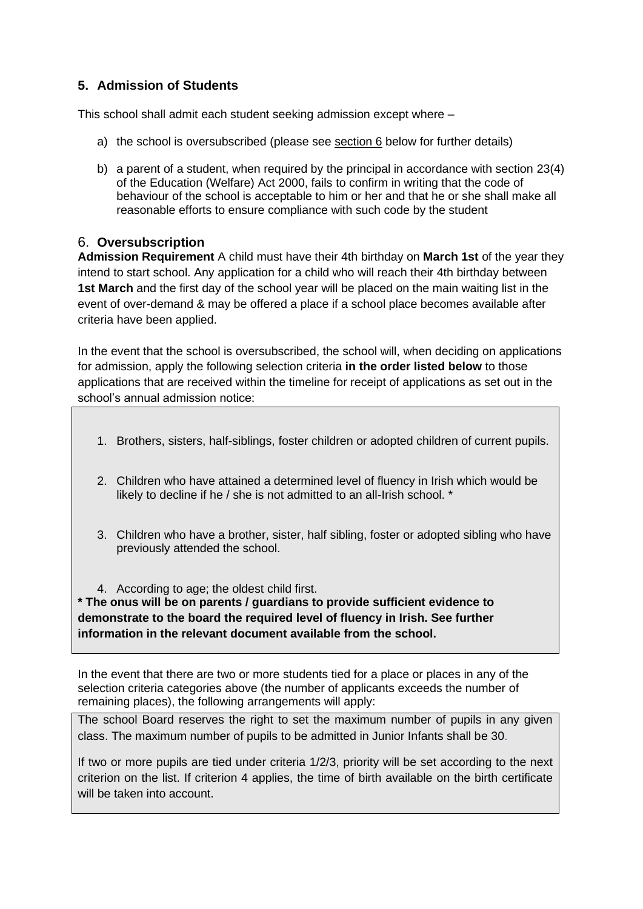# **5. Admission of Students**

This school shall admit each student seeking admission except where –

- a) the school is oversubscribed (please see section 6 below for further details)
- b) a parent of a student, when required by the principal in accordance with section 23(4) of the Education (Welfare) Act 2000, fails to confirm in writing that the code of behaviour of the school is acceptable to him or her and that he or she shall make all reasonable efforts to ensure compliance with such code by the student

### 6. **Oversubscription**

**Admission Requirement** A child must have their 4th birthday on **March 1st** of the year they intend to start school. Any application for a child who will reach their 4th birthday between **1st March** and the first day of the school year will be placed on the main waiting list in the event of over-demand & may be offered a place if a school place becomes available after criteria have been applied.

In the event that the school is oversubscribed, the school will, when deciding on applications for admission, apply the following selection criteria **in the order listed below** to those applications that are received within the timeline for receipt of applications as set out in the school's annual admission notice:

- 1. Brothers, sisters, half-siblings, foster children or adopted children of current pupils.
- 2. Children who have attained a determined level of fluency in Irish which would be likely to decline if he / she is not admitted to an all-Irish school. \*
- 3. Children who have a brother, sister, half sibling, foster or adopted sibling who have previously attended the school.

4. According to age; the oldest child first.

**\* The onus will be on parents / guardians to provide sufficient evidence to demonstrate to the board the required level of fluency in Irish. See further information in the relevant document available from the school.**

In the event that there are two or more students tied for a place or places in any of the selection criteria categories above (the number of applicants exceeds the number of remaining places), the following arrangements will apply:

The school Board reserves the right to set the maximum number of pupils in any given class. The maximum number of pupils to be admitted in Junior Infants shall be 30.

If two or more pupils are tied under criteria 1/2/3, priority will be set according to the next criterion on the list. If criterion 4 applies, the time of birth available on the birth certificate will be taken into account.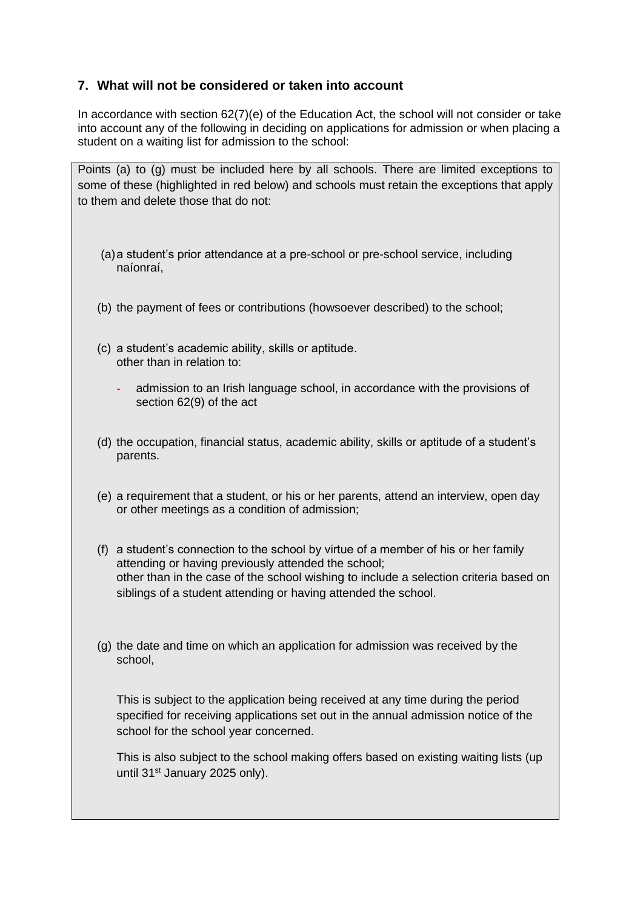### **7. What will not be considered or taken into account**

In accordance with section 62(7)(e) of the Education Act, the school will not consider or take into account any of the following in deciding on applications for admission or when placing a student on a waiting list for admission to the school:

Points (a) to (g) must be included here by all schools. There are limited exceptions to some of these (highlighted in red below) and schools must retain the exceptions that apply to them and delete those that do not:

- (a)a student's prior attendance at a pre-school or pre-school service, including naíonraí,
- (b) the payment of fees or contributions (howsoever described) to the school;
- (c) a student's academic ability, skills or aptitude. other than in relation to:
	- admission to an Irish language school, in accordance with the provisions of section 62(9) of the act
- (d) the occupation, financial status, academic ability, skills or aptitude of a student's parents.
- (e) a requirement that a student, or his or her parents, attend an interview, open day or other meetings as a condition of admission;
- (f) a student's connection to the school by virtue of a member of his or her family attending or having previously attended the school; other than in the case of the school wishing to include a selection criteria based on siblings of a student attending or having attended the school.
- (g) the date and time on which an application for admission was received by the school,

This is subject to the application being received at any time during the period specified for receiving applications set out in the annual admission notice of the school for the school year concerned.

This is also subject to the school making offers based on existing waiting lists (up until 31<sup>st</sup> January 2025 only).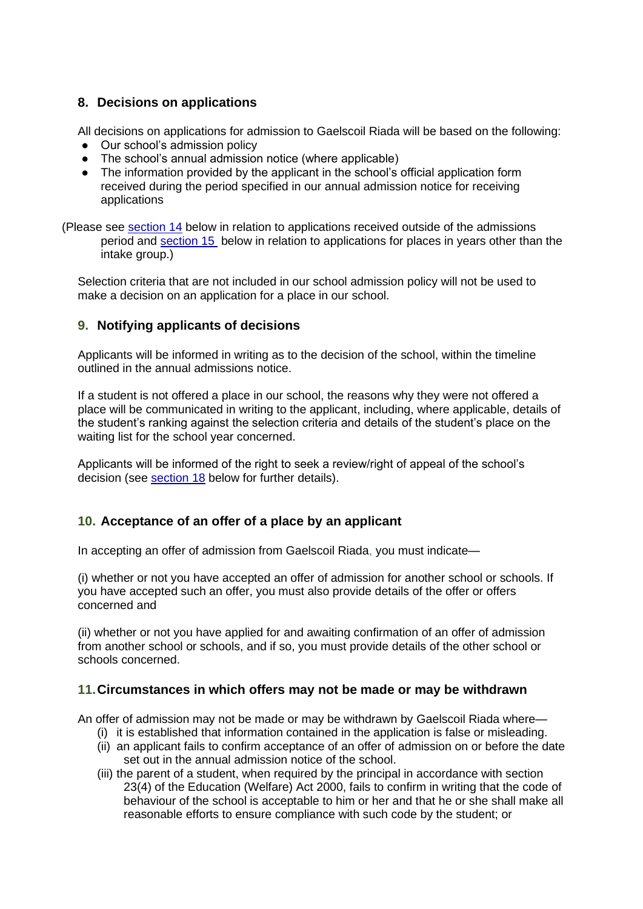### **8. Decisions on applications**

All decisions on applications for admission to Gaelscoil Riada will be based on the following:

- Our school's admission policy
- The school's annual admission notice (where applicable)
- The information provided by the applicant in the school's official application form received during the period specified in our annual admission notice for receiving applications
- (Please see section 14 below in relation to applications received outside of the admissions period and section 15 below in relation to applications for places in years other than the intake group.)

Selection criteria that are not included in our school admission policy will not be used to make a decision on an application for a place in our school.

### **9. Notifying applicants of decisions**

Applicants will be informed in writing as to the decision of the school, within the timeline outlined in the annual admissions notice.

If a student is not offered a place in our school, the reasons why they were not offered a place will be communicated in writing to the applicant, including, where applicable, details of the student's ranking against the selection criteria and details of the student's place on the waiting list for the school year concerned.

Applicants will be informed of the right to seek a review/right of appeal of the school's decision (see section 18 below for further details).

# **10. Acceptance of an offer of a place by an applicant**

In accepting an offer of admission from Gaelscoil Riada, you must indicate—

(i) whether or not you have accepted an offer of admission for another school or schools. If you have accepted such an offer, you must also provide details of the offer or offers concerned and

(ii) whether or not you have applied for and awaiting confirmation of an offer of admission from another school or schools, and if so, you must provide details of the other school or schools concerned.

### **11.Circumstances in which offers may not be made or may be withdrawn**

An offer of admission may not be made or may be withdrawn by Gaelscoil Riada where—

- (i) it is established that information contained in the application is false or misleading. (ii) an applicant fails to confirm acceptance of an offer of admission on or before the date
- set out in the annual admission notice of the school.
- (iii) the parent of a student, when required by the principal in accordance with section 23(4) of the Education (Welfare) Act 2000, fails to confirm in writing that the code of behaviour of the school is acceptable to him or her and that he or she shall make all reasonable efforts to ensure compliance with such code by the student; or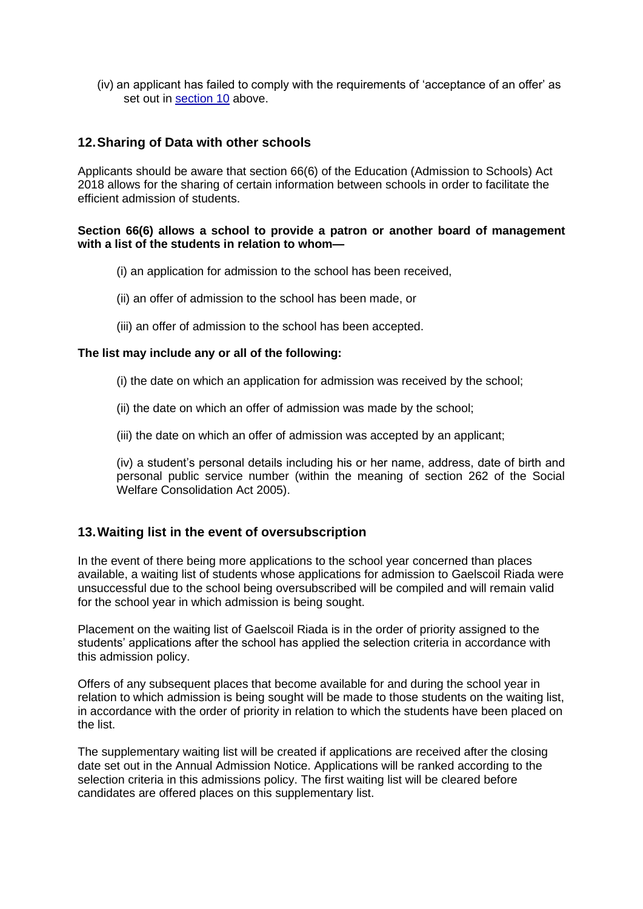(iv) an applicant has failed to comply with the requirements of 'acceptance of an offer' as set out in section 10 above.

### **12.Sharing of Data with other schools**

Applicants should be aware that section 66(6) of the Education (Admission to Schools) Act 2018 allows for the sharing of certain information between schools in order to facilitate the efficient admission of students.

#### **Section 66(6) allows a school to provide a patron or another board of management with a list of the students in relation to whom—**

- (i) an application for admission to the school has been received,
- (ii) an offer of admission to the school has been made, or
- (iii) an offer of admission to the school has been accepted.

#### **The list may include any or all of the following:**

- (i) the date on which an application for admission was received by the school;
- (ii) the date on which an offer of admission was made by the school;
- (iii) the date on which an offer of admission was accepted by an applicant;

(iv) a student's personal details including his or her name, address, date of birth and personal public service number (within the meaning of section 262 of the Social Welfare Consolidation Act 2005).

#### **13.Waiting list in the event of oversubscription**

In the event of there being more applications to the school year concerned than places available, a waiting list of students whose applications for admission to Gaelscoil Riada were unsuccessful due to the school being oversubscribed will be compiled and will remain valid for the school year in which admission is being sought.

Placement on the waiting list of Gaelscoil Riada is in the order of priority assigned to the students' applications after the school has applied the selection criteria in accordance with this admission policy.

Offers of any subsequent places that become available for and during the school year in relation to which admission is being sought will be made to those students on the waiting list, in accordance with the order of priority in relation to which the students have been placed on the list.

The supplementary waiting list will be created if applications are received after the closing date set out in the Annual Admission Notice. Applications will be ranked according to the selection criteria in this admissions policy. The first waiting list will be cleared before candidates are offered places on this supplementary list.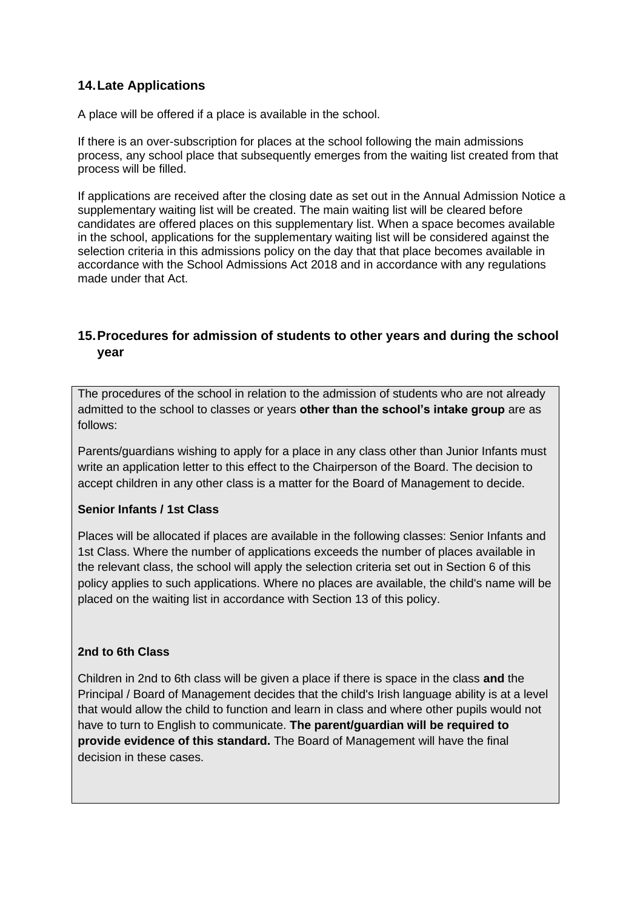# **14.Late Applications**

A place will be offered if a place is available in the school.

If there is an over-subscription for places at the school following the main admissions process, any school place that subsequently emerges from the waiting list created from that process will be filled.

If applications are received after the closing date as set out in the Annual Admission Notice a supplementary waiting list will be created. The main waiting list will be cleared before candidates are offered places on this supplementary list. When a space becomes available in the school, applications for the supplementary waiting list will be considered against the selection criteria in this admissions policy on the day that that place becomes available in accordance with the School Admissions Act 2018 and in accordance with any regulations made under that Act.

### **15.Procedures for admission of students to other years and during the school year**

The procedures of the school in relation to the admission of students who are not already admitted to the school to classes or years **other than the school's intake group** are as follows:

Parents/guardians wishing to apply for a place in any class other than Junior Infants must write an application letter to this effect to the Chairperson of the Board. The decision to accept children in any other class is a matter for the Board of Management to decide.

#### **Senior Infants / 1st Class**

Places will be allocated if places are available in the following classes: Senior Infants and 1st Class. Where the number of applications exceeds the number of places available in the relevant class, the school will apply the selection criteria set out in Section 6 of this policy applies to such applications. Where no places are available, the child's name will be placed on the waiting list in accordance with Section 13 of this policy.

#### **2nd to 6th Class**

Children in 2nd to 6th class will be given a place if there is space in the class **and** the Principal / Board of Management decides that the child's Irish language ability is at a level that would allow the child to function and learn in class and where other pupils would not have to turn to English to communicate. **The parent/guardian will be required to provide evidence of this standard.** The Board of Management will have the final decision in these cases.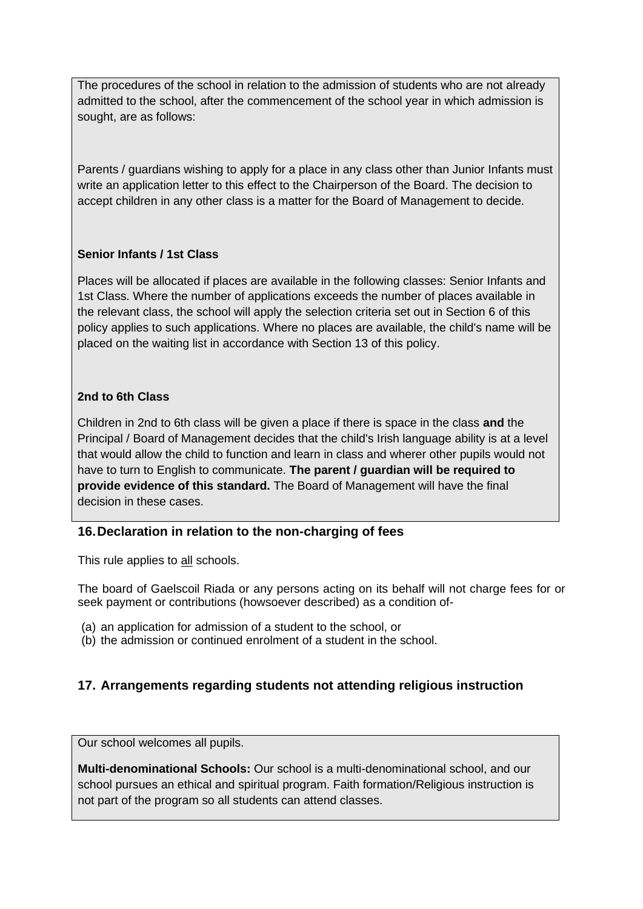The procedures of the school in relation to the admission of students who are not already admitted to the school, after the commencement of the school year in which admission is sought, are as follows:

Parents / guardians wishing to apply for a place in any class other than Junior Infants must write an application letter to this effect to the Chairperson of the Board. The decision to accept children in any other class is a matter for the Board of Management to decide.

### **Senior Infants / 1st Class**

Places will be allocated if places are available in the following classes: Senior Infants and 1st Class. Where the number of applications exceeds the number of places available in the relevant class, the school will apply the selection criteria set out in Section 6 of this policy applies to such applications. Where no places are available, the child's name will be placed on the waiting list in accordance with Section 13 of this policy.

### **2nd to 6th Class**

Children in 2nd to 6th class will be given a place if there is space in the class **and** the Principal / Board of Management decides that the child's Irish language ability is at a level that would allow the child to function and learn in class and wherer other pupils would not have to turn to English to communicate. **The parent / guardian will be required to provide evidence of this standard.** The Board of Management will have the final decision in these cases.

# **16.Declaration in relation to the non-charging of fees**

This rule applies to all schools.

The board of Gaelscoil Riada or any persons acting on its behalf will not charge fees for or seek payment or contributions (howsoever described) as a condition of-

- (a) an application for admission of a student to the school, or
- (b) the admission or continued enrolment of a student in the school.

# **17. Arrangements regarding students not attending religious instruction**

Our school welcomes all pupils.

**Multi-denominational Schools:** Our school is a multi-denominational school, and our school pursues an ethical and spiritual program. Faith formation/Religious instruction is not part of the program so all students can attend classes.